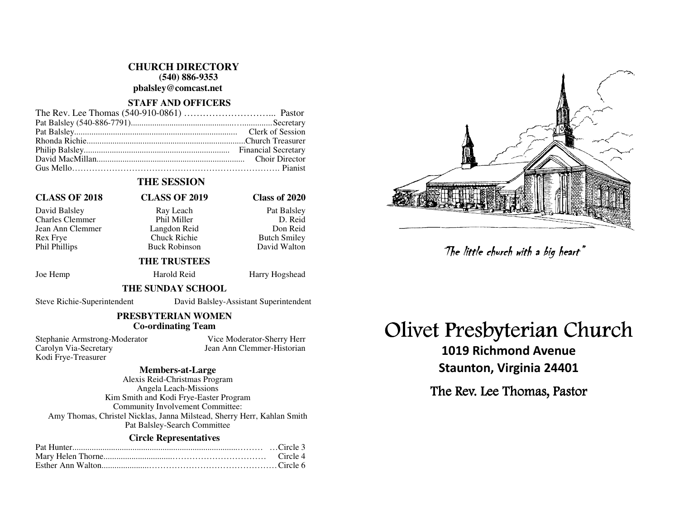#### **CHURCH DIRECTORY (540) 886-9353**

**pbalsley@comcast.net** 

#### **STAFF AND OFFICERS**

### **THE SESSION**

David Balsley Ray Leach Pat Balsley Charles Clemmer Phil Miller Jean Ann Clemmer Langdon Reid<br>
Rex Frve Chuck Richie Rex Frye Chuck Richie Butch Smiley Phil Phillips **Buck Robinson** David Walton

# **CLASS OF 2018 CLASS OF 2019 Class of 2020**

D. Reid Don Reid

#### **THE TRUSTEES**

Joe Hemp Harold Reid Harry Hogshead

#### **THE SUNDAY SCHOOL**

Steve Richie-Superintendent David Balsley-Assistant Superintendent

## **PRESBYTERIAN WOMEN Co-ordinating Team**

Stephanie Armstrong-Moderator Vice Moderator-Sherry Herr Carolyn Via-Secretary Jean Ann Clemmer-Historian Kodi Frye-Treasurer

### **Members-at-Large**

 Alexis Reid-Christmas Program Angela Leach-Missions Kim Smith and Kodi Frye-Easter Program Community Involvement Committee: Amy Thomas, Christel Nicklas, Janna Milstead, Sherry Herr, Kahlan Smith Pat Balsley-Search Committee

#### **Circle Representatives**



# Olivet Presbyterian Church

1019 Richmond Avenue Staunton, Virginia 24401 The little church with a big heart"<br> **Presbyterian Church Avenue**<br>
taunton, Virginia 24401<br>
e Rev. Lee Thomas, Pastor

The Rev. Lee Thomas, Pastor